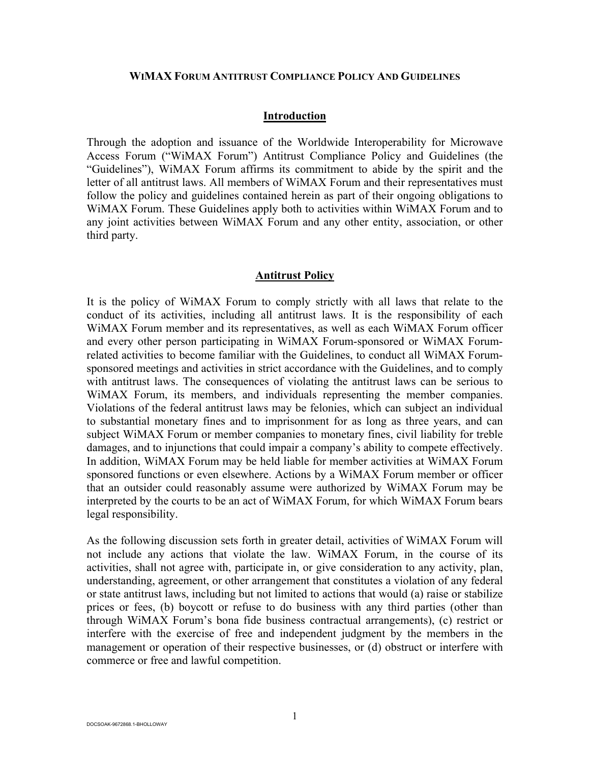#### **WIMAX FORUM ANTITRUST COMPLIANCE POLICY AND GUIDELINES**

#### **Introduction**

Through the adoption and issuance of the Worldwide Interoperability for Microwave Access Forum ("WiMAX Forum") Antitrust Compliance Policy and Guidelines (the "Guidelines"), WiMAX Forum affirms its commitment to abide by the spirit and the letter of all antitrust laws. All members of WiMAX Forum and their representatives must follow the policy and guidelines contained herein as part of their ongoing obligations to WiMAX Forum. These Guidelines apply both to activities within WiMAX Forum and to any joint activities between WiMAX Forum and any other entity, association, or other third party.

#### **Antitrust Policy**

It is the policy of WiMAX Forum to comply strictly with all laws that relate to the conduct of its activities, including all antitrust laws. It is the responsibility of each WiMAX Forum member and its representatives, as well as each WiMAX Forum officer and every other person participating in WiMAX Forum-sponsored or WiMAX Forumrelated activities to become familiar with the Guidelines, to conduct all WiMAX Forumsponsored meetings and activities in strict accordance with the Guidelines, and to comply with antitrust laws. The consequences of violating the antitrust laws can be serious to WiMAX Forum, its members, and individuals representing the member companies. Violations of the federal antitrust laws may be felonies, which can subject an individual to substantial monetary fines and to imprisonment for as long as three years, and can subject WiMAX Forum or member companies to monetary fines, civil liability for treble damages, and to injunctions that could impair a company's ability to compete effectively. In addition, WiMAX Forum may be held liable for member activities at WiMAX Forum sponsored functions or even elsewhere. Actions by a WiMAX Forum member or officer that an outsider could reasonably assume were authorized by WiMAX Forum may be interpreted by the courts to be an act of WiMAX Forum, for which WiMAX Forum bears legal responsibility.

As the following discussion sets forth in greater detail, activities of WiMAX Forum will not include any actions that violate the law. WiMAX Forum, in the course of its activities, shall not agree with, participate in, or give consideration to any activity, plan, understanding, agreement, or other arrangement that constitutes a violation of any federal or state antitrust laws, including but not limited to actions that would (a) raise or stabilize prices or fees, (b) boycott or refuse to do business with any third parties (other than through WiMAX Forum's bona fide business contractual arrangements), (c) restrict or interfere with the exercise of free and independent judgment by the members in the management or operation of their respective businesses, or (d) obstruct or interfere with commerce or free and lawful competition.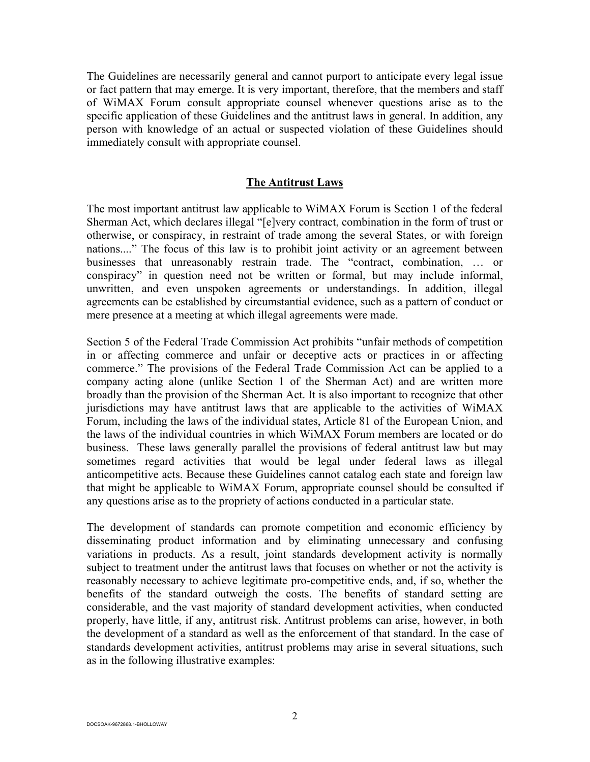The Guidelines are necessarily general and cannot purport to anticipate every legal issue or fact pattern that may emerge. It is very important, therefore, that the members and staff of WiMAX Forum consult appropriate counsel whenever questions arise as to the specific application of these Guidelines and the antitrust laws in general. In addition, any person with knowledge of an actual or suspected violation of these Guidelines should immediately consult with appropriate counsel.

### **The Antitrust Laws**

The most important antitrust law applicable to WiMAX Forum is Section 1 of the federal Sherman Act, which declares illegal "[e]very contract, combination in the form of trust or otherwise, or conspiracy, in restraint of trade among the several States, or with foreign nations...." The focus of this law is to prohibit joint activity or an agreement between businesses that unreasonably restrain trade. The "contract, combination, … or conspiracy" in question need not be written or formal, but may include informal, unwritten, and even unspoken agreements or understandings. In addition, illegal agreements can be established by circumstantial evidence, such as a pattern of conduct or mere presence at a meeting at which illegal agreements were made.

Section 5 of the Federal Trade Commission Act prohibits "unfair methods of competition in or affecting commerce and unfair or deceptive acts or practices in or affecting commerce." The provisions of the Federal Trade Commission Act can be applied to a company acting alone (unlike Section 1 of the Sherman Act) and are written more broadly than the provision of the Sherman Act. It is also important to recognize that other jurisdictions may have antitrust laws that are applicable to the activities of WiMAX Forum, including the laws of the individual states, Article 81 of the European Union, and the laws of the individual countries in which WiMAX Forum members are located or do business. These laws generally parallel the provisions of federal antitrust law but may sometimes regard activities that would be legal under federal laws as illegal anticompetitive acts. Because these Guidelines cannot catalog each state and foreign law that might be applicable to WiMAX Forum, appropriate counsel should be consulted if any questions arise as to the propriety of actions conducted in a particular state.

The development of standards can promote competition and economic efficiency by disseminating product information and by eliminating unnecessary and confusing variations in products. As a result, joint standards development activity is normally subject to treatment under the antitrust laws that focuses on whether or not the activity is reasonably necessary to achieve legitimate pro-competitive ends, and, if so, whether the benefits of the standard outweigh the costs. The benefits of standard setting are considerable, and the vast majority of standard development activities, when conducted properly, have little, if any, antitrust risk. Antitrust problems can arise, however, in both the development of a standard as well as the enforcement of that standard. In the case of standards development activities, antitrust problems may arise in several situations, such as in the following illustrative examples: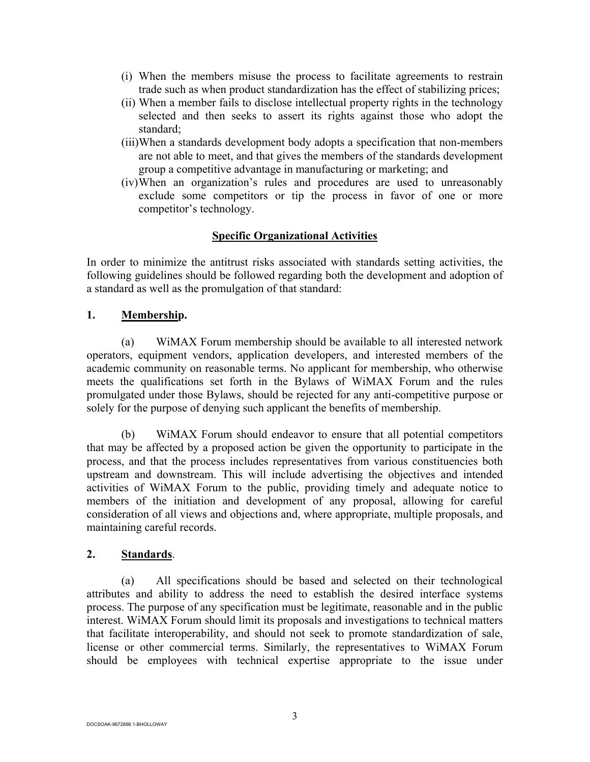- (i) When the members misuse the process to facilitate agreements to restrain trade such as when product standardization has the effect of stabilizing prices;
- (ii) When a member fails to disclose intellectual property rights in the technology selected and then seeks to assert its rights against those who adopt the standard;
- (iii)When a standards development body adopts a specification that non-members are not able to meet, and that gives the members of the standards development group a competitive advantage in manufacturing or marketing; and
- (iv) When an organization's rules and procedures are used to unreasonably exclude some competitors or tip the process in favor of one or more competitor's technology.

# **Specific Organizational Activities**

In order to minimize the antitrust risks associated with standards setting activities, the following guidelines should be followed regarding both the development and adoption of a standard as well as the promulgation of that standard:

# **1. Membership.**

(a) WiMAX Forum membership should be available to all interested network operators, equipment vendors, application developers, and interested members of the academic community on reasonable terms. No applicant for membership, who otherwise meets the qualifications set forth in the Bylaws of WiMAX Forum and the rules promulgated under those Bylaws, should be rejected for any anti-competitive purpose or solely for the purpose of denying such applicant the benefits of membership.

(b) WiMAX Forum should endeavor to ensure that all potential competitors that may be affected by a proposed action be given the opportunity to participate in the process, and that the process includes representatives from various constituencies both upstream and downstream. This will include advertising the objectives and intended activities of WiMAX Forum to the public, providing timely and adequate notice to members of the initiation and development of any proposal, allowing for careful consideration of all views and objections and, where appropriate, multiple proposals, and maintaining careful records.

# **2. Standards**.

(a) All specifications should be based and selected on their technological attributes and ability to address the need to establish the desired interface systems process. The purpose of any specification must be legitimate, reasonable and in the public interest. WiMAX Forum should limit its proposals and investigations to technical matters that facilitate interoperability, and should not seek to promote standardization of sale, license or other commercial terms. Similarly, the representatives to WiMAX Forum should be employees with technical expertise appropriate to the issue under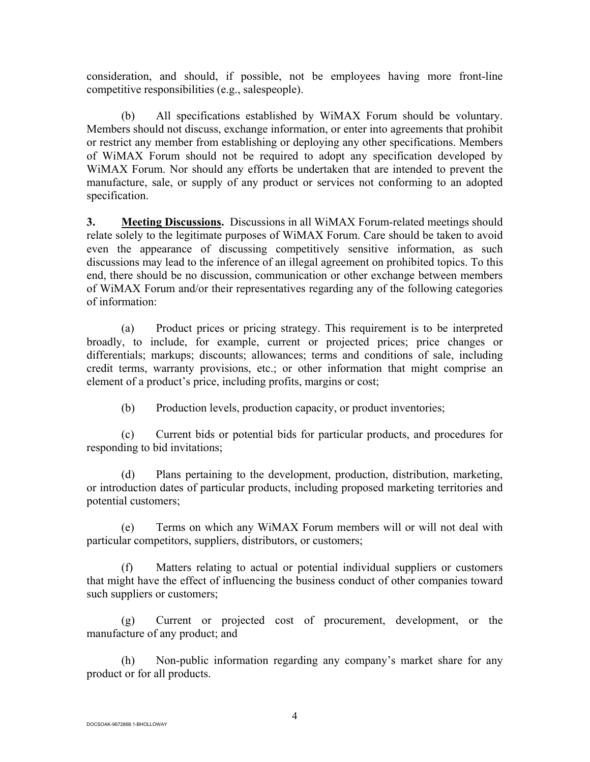consideration, and should, if possible, not be employees having more front-line competitive responsibilities (e.g., salespeople).

(b) All specifications established by WiMAX Forum should be voluntary. Members should not discuss, exchange information, or enter into agreements that prohibit or restrict any member from establishing or deploying any other specifications. Members of WiMAX Forum should not be required to adopt any specification developed by WiMAX Forum. Nor should any efforts be undertaken that are intended to prevent the manufacture, sale, or supply of any product or services not conforming to an adopted specification.

**3.** Meeting Discussions. Discussions in all WiMAX Forum-related meetings should relate solely to the legitimate purposes of WiMAX Forum. Care should be taken to avoid even the appearance of discussing competitively sensitive information, as such discussions may lead to the inference of an illegal agreement on prohibited topics. To this end, there should be no discussion, communication or other exchange between members of WiMAX Forum and/or their representatives regarding any of the following categories of information:

(a) Product prices or pricing strategy. This requirement is to be interpreted broadly, to include, for example, current or projected prices; price changes or differentials; markups; discounts; allowances; terms and conditions of sale, including credit terms, warranty provisions, etc.; or other information that might comprise an element of a product's price, including profits, margins or cost;

(b) Production levels, production capacity, or product inventories;

(c) Current bids or potential bids for particular products, and procedures for responding to bid invitations;

(d) Plans pertaining to the development, production, distribution, marketing, or introduction dates of particular products, including proposed marketing territories and potential customers;

(e) Terms on which any WiMAX Forum members will or will not deal with particular competitors, suppliers, distributors, or customers;

(f) Matters relating to actual or potential individual suppliers or customers that might have the effect of influencing the business conduct of other companies toward such suppliers or customers;

(g) Current or projected cost of procurement, development, or the manufacture of any product; and

(h) Non-public information regarding any company's market share for any product or for all products.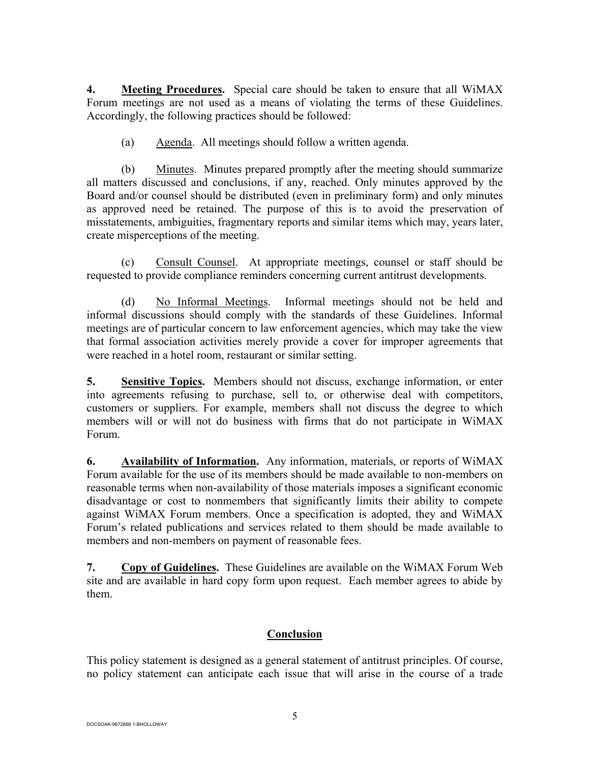**4. Meeting Procedures.** Special care should be taken to ensure that all WiMAX Forum meetings are not used as a means of violating the terms of these Guidelines. Accordingly, the following practices should be followed:

(a) Agenda. All meetings should follow a written agenda.

(b) Minutes. Minutes prepared promptly after the meeting should summarize all matters discussed and conclusions, if any, reached. Only minutes approved by the Board and/or counsel should be distributed (even in preliminary form) and only minutes as approved need be retained. The purpose of this is to avoid the preservation of misstatements, ambiguities, fragmentary reports and similar items which may, years later, create misperceptions of the meeting.

(c) Consult Counsel. At appropriate meetings, counsel or staff should be requested to provide compliance reminders concerning current antitrust developments.

(d) No Informal Meetings. Informal meetings should not be held and informal discussions should comply with the standards of these Guidelines. Informal meetings are of particular concern to law enforcement agencies, which may take the view that formal association activities merely provide a cover for improper agreements that were reached in a hotel room, restaurant or similar setting.

**5. Sensitive Topics.** Members should not discuss, exchange information, or enter into agreements refusing to purchase, sell to, or otherwise deal with competitors, customers or suppliers. For example, members shall not discuss the degree to which members will or will not do business with firms that do not participate in WiMAX Forum.

**6. Availability of Information.** Any information, materials, or reports of WiMAX Forum available for the use of its members should be made available to non-members on reasonable terms when non-availability of those materials imposes a significant economic disadvantage or cost to nonmembers that significantly limits their ability to compete against WiMAX Forum members. Once a specification is adopted, they and WiMAX Forum's related publications and services related to them should be made available to members and non-members on payment of reasonable fees.

**7. Copy of Guidelines.** These Guidelines are available on the WiMAX Forum Web site and are available in hard copy form upon request. Each member agrees to abide by them.

# **Conclusion**

This policy statement is designed as a general statement of antitrust principles. Of course, no policy statement can anticipate each issue that will arise in the course of a trade